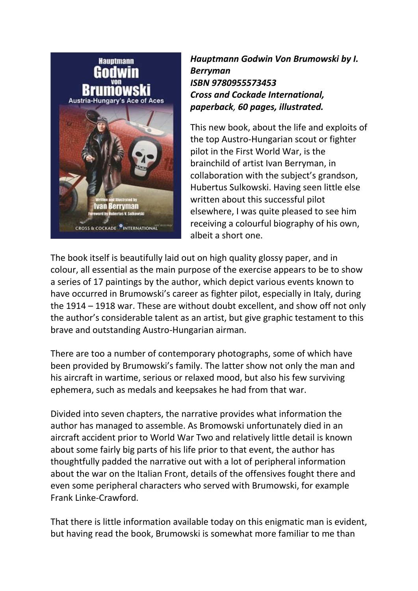

*Hauptmann Godwin Von Brumowski by I. Berryman ISBN 9780955573453 Cross and Cockade International, paperback, 60 pages, illustrated.* 

This new book, about the life and exploits of the top Austro-Hungarian scout or fighter pilot in the First World War, is the brainchild of artist Ivan Berryman, in collaboration with the subject's grandson, Hubertus Sulkowski. Having seen little else written about this successful pilot elsewhere, I was quite pleased to see him receiving a colourful biography of his own, albeit a short one.

The book itself is beautifully laid out on high quality glossy paper, and in colour, all essential as the main purpose of the exercise appears to be to show a series of 17 paintings by the author, which depict various events known to have occurred in Brumowski's career as fighter pilot, especially in Italy, during the 1914 – 1918 war. These are without doubt excellent, and show off not only the author's considerable talent as an artist, but give graphic testament to this brave and outstanding Austro-Hungarian airman.

There are too a number of contemporary photographs, some of which have been provided by Brumowski's family. The latter show not only the man and his aircraft in wartime, serious or relaxed mood, but also his few surviving ephemera, such as medals and keepsakes he had from that war.

Divided into seven chapters, the narrative provides what information the author has managed to assemble. As Bromowski unfortunately died in an aircraft accident prior to World War Two and relatively little detail is known about some fairly big parts of his life prior to that event, the author has thoughtfully padded the narrative out with a lot of peripheral information about the war on the Italian Front, details of the offensives fought there and even some peripheral characters who served with Brumowski, for example Frank Linke-Crawford.

That there is little information available today on this enigmatic man is evident, but having read the book, Brumowski is somewhat more familiar to me than